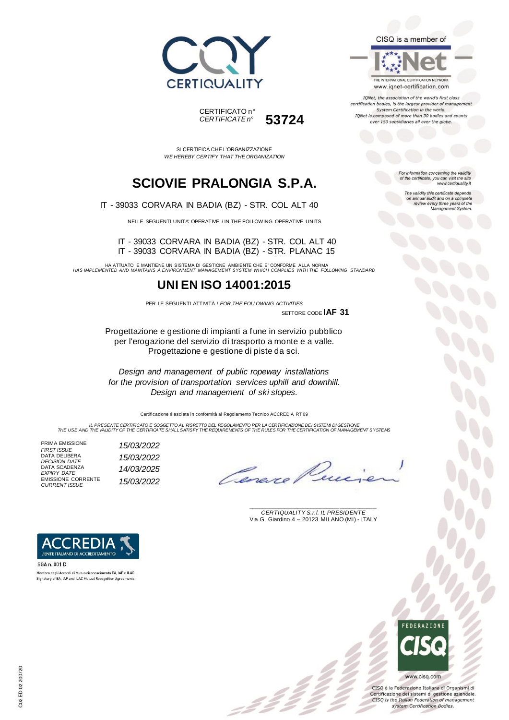



SI CERTIFICA CHE L'ORGANIZZAZIONE *WE HEREBY CERTIFY THAT THE ORGANIZATION*

## **SCIOVIE PRALONGIA S.P.A.**

IT - 39033 CORVARA IN BADIA (BZ) - STR. COL ALT 40

NELLE SEGUENTI UNITA' OPERATIVE / IN THE FOLLOWING OPERATIVE UNITS

IT - 39033 CORVARA IN BADIA (BZ) - STR. COL ALT 40 IT - 39033 CORVARA IN BADIA (BZ) - STR. PLANAC 15

HA ATTUATO E MANTIENE UN SISTEMA DI GESTIONE AMBIENTE CHE E' CONFORME ALLA NORMA *HAS IMPLEMENTED AND MAINTAINS A ENVIRONMENT MANAGEMENT SYSTEM WHICH COMPLIES WITH THE FOLLOWING STANDARD*

### **UNI EN ISO 14001:2015**

PER LE SEGUENTI ATTIVITÀ / *FOR THE FOLLOWING ACTIVITIES* SETTORE CODE **IAF 31**

Progettazione e gestione di impianti a fune in servizio pubblico per l'erogazione del servizio di trasporto a monte e a valle. Progettazione e gestione di piste da sci.

*Design and management of public ropeway installations for the provision of transportation services uphill and downhill. Design and management of ski slopes.*

Certificazione rilasciata in conformità al Regolamento Tecnico ACCREDIA RT 09

IL PRESENTE CERTIFICATO E SOGGETTO AL RISPETTO DEL REGOLAMENTO PER LA CERTIFICAZIONE DEI SISTEMI DI GESTIONE<br>THE USE AND THE VALIDITY OF THE CERTIFICATE SHALL SATISFY THE REQUIREMENTS OF THE RULES FOR THE CERTIFICATION OF

PRIMA EMISSIONE *FIRST ISSUE 15/03/2022* DATA DELIBERA *DECISION DATE 15/03/2022* DATA SCADENZA *EXPIRY DATE 14/03/2025* EMISSIONE CORRENTE *CURRENT ISSUE 15/03/2022*

L'ENTE ITALIANO DI ACCREDITAMENTO

Membro degli Accordi di Mutuo riconoscimento EA, IAF e ILAC. Signatory of EA, IAF and ILAC Mutual Recognition Agreen

SGA n. 001 D

\_\_\_\_\_\_\_\_\_\_\_\_\_\_\_\_\_\_\_\_\_\_\_\_\_\_\_\_\_\_\_\_\_\_\_\_\_\_\_ *CERTIQUALITY S.r.l. IL PRESIDENTE* Via G. Giardino 4 – 20123 MILANO (MI) - ITALY





www.cisq.com

CISQ è la Federazione Italiana di Organismi di Certificazione dei sistemi di gestione aziendale. CISQ is the Italian Federation of management system Certification Bodies.

CISQ is a member of

THE INTERNATIONAL CERTIFICATION NETWORK www.iqnet-certification.com

IQNet, the association of the world's first class certification bodies, is the largest provider of manageme System Certification in the world. IQNet is composed of more than 30 bodies and counts over 150 subsidiaries all over the globe.

> For information concerning the validity<br>of the certificate, you can visit the site www.certiquality.it

> > The validity this certificate depends on annual audit and on a complete<br>review every three years of the<br>Management System.